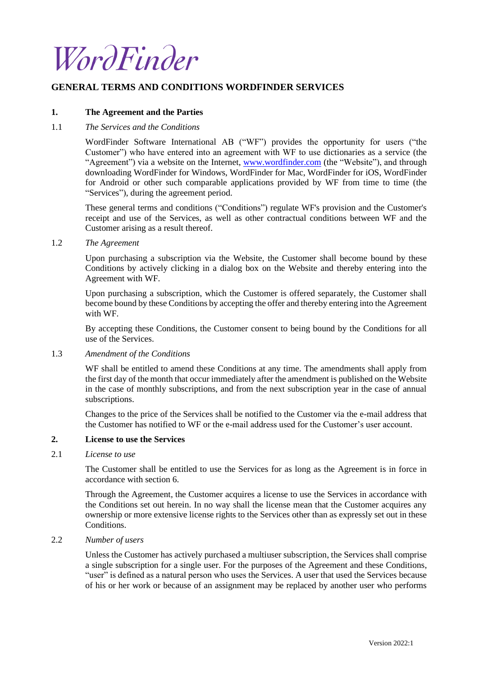

# **GENERAL TERMS AND CONDITIONS WORDFINDER SERVICES**

## **1. The Agreement and the Parties**

## 1.1 *The Services and the Conditions*

WordFinder Software International AB ("WF") provides the opportunity for users ("the Customer") who have entered into an agreement with WF to use dictionaries as a service (the "Agreement") via a website on the Internet, [www.wordfinder.com](http://www.wordfinder.com/) (the "Website"), and through downloading WordFinder for Windows, WordFinder for Mac, WordFinder for iOS, WordFinder for Android or other such comparable applications provided by WF from time to time (the "Services"), during the agreement period.

These general terms and conditions ("Conditions") regulate WF's provision and the Customer's receipt and use of the Services, as well as other contractual conditions between WF and the Customer arising as a result thereof.

# <span id="page-0-1"></span>1.2 *The Agreement*

Upon purchasing a subscription via the Website, the Customer shall become bound by these Conditions by actively clicking in a dialog box on the Website and thereby entering into the Agreement with WF.

Upon purchasing a subscription, which the Customer is offered separately, the Customer shall become bound by these Conditions by accepting the offer and thereby entering into the Agreement with WF.

By accepting these Conditions, the Customer consent to being bound by the Conditions for all use of the Services.

#### <span id="page-0-0"></span>1.3 *Amendment of the Conditions*

WF shall be entitled to amend these Conditions at any time. The amendments shall apply from the first day of the month that occur immediately after the amendment is published on the Website in the case of monthly subscriptions, and from the next subscription year in the case of annual subscriptions.

Changes to the price of the Services shall be notified to the Customer via the e-mail address that the Customer has notified to WF or the e-mail address used for the Customer's user account.

## **2. License to use the Services**

# 2.1 *License to use*

The Customer shall be entitled to use the Services for as long as the Agreement is in force in accordance with section [6.](#page-4-0)

Through the Agreement, the Customer acquires a license to use the Services in accordance with the Conditions set out herein. In no way shall the license mean that the Customer acquires any ownership or more extensive license rights to the Services other than as expressly set out in these Conditions.

# 2.2 *Number of users*

Unless the Customer has actively purchased a multiuser subscription, the Services shall comprise a single subscription for a single user. For the purposes of the Agreement and these Conditions, "user" is defined as a natural person who uses the Services. A user that used the Services because of his or her work or because of an assignment may be replaced by another user who performs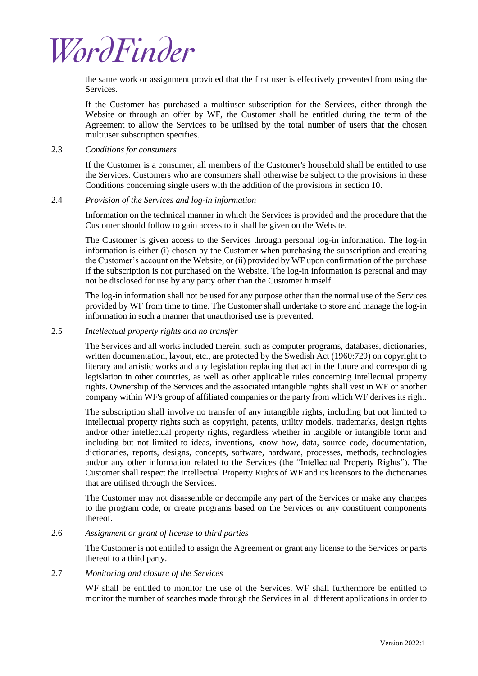

the same work or assignment provided that the first user is effectively prevented from using the Services.

If the Customer has purchased a multiuser subscription for the Services, either through the Website or through an offer by WF, the Customer shall be entitled during the term of the Agreement to allow the Services to be utilised by the total number of users that the chosen multiuser subscription specifies.

# 2.3 *Conditions for consumers*

If the Customer is a consumer, all members of the Customer's household shall be entitled to use the Services. Customers who are consumers shall otherwise be subject to the provisions in these Conditions concerning single users with the addition of the provisions in section [10.](#page-5-0)

# 2.4 *Provision of the Services and log-in information*

Information on the technical manner in which the Services is provided and the procedure that the Customer should follow to gain access to it shall be given on the Website.

The Customer is given access to the Services through personal log-in information. The log-in information is either (i) chosen by the Customer when purchasing the subscription and creating the Customer's account on the Website, or (ii) provided by WF upon confirmation of the purchase if the subscription is not purchased on the Website. The log-in information is personal and may not be disclosed for use by any party other than the Customer himself.

The log-in information shall not be used for any purpose other than the normal use of the Services provided by WF from time to time. The Customer shall undertake to store and manage the log-in information in such a manner that unauthorised use is prevented.

#### 2.5 *Intellectual property rights and no transfer*

The Services and all works included therein, such as computer programs, databases, dictionaries, written documentation, layout, etc., are protected by the Swedish Act (1960:729) on copyright to literary and artistic works and any legislation replacing that act in the future and corresponding legislation in other countries, as well as other applicable rules concerning intellectual property rights. Ownership of the Services and the associated intangible rights shall vest in WF or another company within WF's group of affiliated companies or the party from which WF derives its right.

The subscription shall involve no transfer of any intangible rights, including but not limited to intellectual property rights such as copyright, patents, utility models, trademarks, design rights and/or other intellectual property rights, regardless whether in tangible or intangible form and including but not limited to ideas, inventions, know how, data, source code, documentation, dictionaries, reports, designs, concepts, software, hardware, processes, methods, technologies and/or any other information related to the Services (the "Intellectual Property Rights"). The Customer shall respect the Intellectual Property Rights of WF and its licensors to the dictionaries that are utilised through the Services.

The Customer may not disassemble or decompile any part of the Services or make any changes to the program code, or create programs based on the Services or any constituent components thereof.

## 2.6 *Assignment or grant of license to third parties*

The Customer is not entitled to assign the Agreement or grant any license to the Services or parts thereof to a third party.

#### <span id="page-1-0"></span>2.7 *Monitoring and closure of the Services*

WF shall be entitled to monitor the use of the Services. WF shall furthermore be entitled to monitor the number of searches made through the Services in all different applications in order to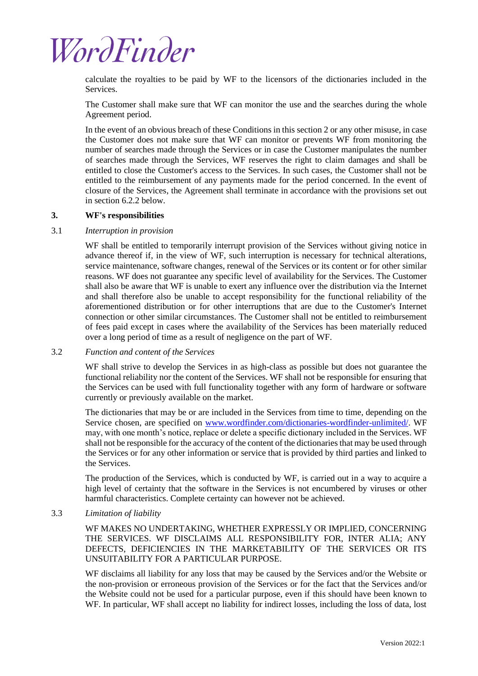# WordFinder

calculate the royalties to be paid by WF to the licensors of the dictionaries included in the Services.

The Customer shall make sure that WF can monitor the use and the searches during the whole Agreement period.

In the event of an obvious breach of these Conditions in this section 2 or any other misuse, in case the Customer does not make sure that WF can monitor or prevents WF from monitoring the number of searches made through the Services or in case the Customer manipulates the number of searches made through the Services, WF reserves the right to claim damages and shall be entitled to close the Customer's access to the Services. In such cases, the Customer shall not be entitled to the reimbursement of any payments made for the period concerned. In the event of closure of the Services, the Agreement shall terminate in accordance with the provisions set out in section [6.2.2](#page-4-1) below.

# **3. WF's responsibilities**

# 3.1 *Interruption in provision*

WF shall be entitled to temporarily interrupt provision of the Services without giving notice in advance thereof if, in the view of WF, such interruption is necessary for technical alterations, service maintenance, software changes, renewal of the Services or its content or for other similar reasons. WF does not guarantee any specific level of availability for the Services. The Customer shall also be aware that WF is unable to exert any influence over the distribution via the Internet and shall therefore also be unable to accept responsibility for the functional reliability of the aforementioned distribution or for other interruptions that are due to the Customer's Internet connection or other similar circumstances. The Customer shall not be entitled to reimbursement of fees paid except in cases where the availability of the Services has been materially reduced over a long period of time as a result of negligence on the part of WF.

3.2 *Function and content of the Services*

WF shall strive to develop the Services in as high-class as possible but does not guarantee the functional reliability nor the content of the Services. WF shall not be responsible for ensuring that the Services can be used with full functionality together with any form of hardware or software currently or previously available on the market.

The dictionaries that may be or are included in the Services from time to time, depending on the Service chosen, are specified on [www.wordfinder.com/dictionaries-wordfinder-unlimited/.](http://www.wordfinder.com/dictionaries-wordfinder-unlimited/) WF may, with one month's notice, replace or delete a specific dictionary included in the Services. WF shall not be responsible for the accuracy of the content of the dictionaries that may be used through the Services or for any other information or service that is provided by third parties and linked to the Services.

The production of the Services, which is conducted by WF, is carried out in a way to acquire a high level of certainty that the software in the Services is not encumbered by viruses or other harmful characteristics. Complete certainty can however not be achieved.

# 3.3 *Limitation of liability*

WF MAKES NO UNDERTAKING, WHETHER EXPRESSLY OR IMPLIED, CONCERNING THE SERVICES. WF DISCLAIMS ALL RESPONSIBILITY FOR, INTER ALIA; ANY DEFECTS, DEFICIENCIES IN THE MARKETABILITY OF THE SERVICES OR ITS UNSUITABILITY FOR A PARTICULAR PURPOSE.

WF disclaims all liability for any loss that may be caused by the Services and/or the Website or the non-provision or erroneous provision of the Services or for the fact that the Services and/or the Website could not be used for a particular purpose, even if this should have been known to WF. In particular, WF shall accept no liability for indirect losses, including the loss of data, lost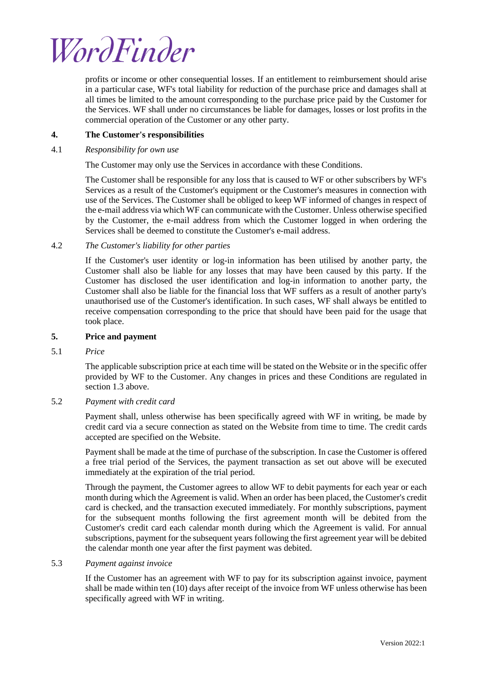

profits or income or other consequential losses. If an entitlement to reimbursement should arise in a particular case, WF's total liability for reduction of the purchase price and damages shall at all times be limited to the amount corresponding to the purchase price paid by the Customer for the Services. WF shall under no circumstances be liable for damages, losses or lost profits in the commercial operation of the Customer or any other party.

## **4. The Customer's responsibilities**

#### 4.1 *Responsibility for own use*

The Customer may only use the Services in accordance with these Conditions.

The Customer shall be responsible for any loss that is caused to WF or other subscribers by WF's Services as a result of the Customer's equipment or the Customer's measures in connection with use of the Services. The Customer shall be obliged to keep WF informed of changes in respect of the e-mail address via which WF can communicate with the Customer. Unless otherwise specified by the Customer, the e-mail address from which the Customer logged in when ordering the Services shall be deemed to constitute the Customer's e-mail address.

4.2 *The Customer's liability for other parties* 

If the Customer's user identity or log-in information has been utilised by another party, the Customer shall also be liable for any losses that may have been caused by this party. If the Customer has disclosed the user identification and log-in information to another party, the Customer shall also be liable for the financial loss that WF suffers as a result of another party's unauthorised use of the Customer's identification. In such cases, WF shall always be entitled to receive compensation corresponding to the price that should have been paid for the usage that took place.

# <span id="page-3-2"></span>**5. Price and payment**

5.1 *Price* 

The applicable subscription price at each time will be stated on the Website or in the specific offer provided by WF to the Customer. Any changes in prices and these Conditions are regulated in section [1.3](#page-0-0) above.

# <span id="page-3-0"></span>5.2 *Payment with credit card*

Payment shall, unless otherwise has been specifically agreed with WF in writing, be made by credit card via a secure connection as stated on the Website from time to time. The credit cards accepted are specified on the Website.

Payment shall be made at the time of purchase of the subscription. In case the Customer is offered a free trial period of the Services, the payment transaction as set out above will be executed immediately at the expiration of the trial period.

Through the payment, the Customer agrees to allow WF to debit payments for each year or each month during which the Agreement is valid. When an order has been placed, the Customer's credit card is checked, and the transaction executed immediately. For monthly subscriptions, payment for the subsequent months following the first agreement month will be debited from the Customer's credit card each calendar month during which the Agreement is valid. For annual subscriptions, payment for the subsequent years following the first agreement year will be debited the calendar month one year after the first payment was debited.

#### <span id="page-3-1"></span>5.3 *Payment against invoice*

If the Customer has an agreement with WF to pay for its subscription against invoice, payment shall be made within ten (10) days after receipt of the invoice from WF unless otherwise has been specifically agreed with WF in writing.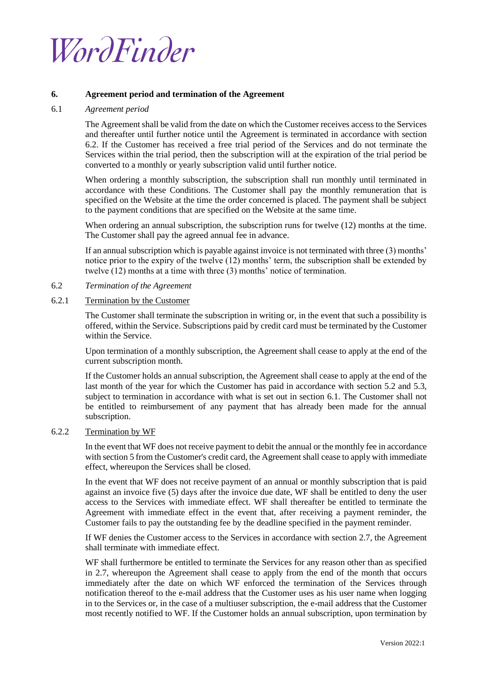

## <span id="page-4-0"></span>**6. Agreement period and termination of the Agreement**

## <span id="page-4-2"></span>6.1 *Agreement period*

The Agreement shall be valid from the date on which the Customer receives access to the Services and thereafter until further notice until the Agreement is terminated in accordance with section 6.2. If the Customer has received a free trial period of the Services and do not terminate the Services within the trial period, then the subscription will at the expiration of the trial period be converted to a monthly or yearly subscription valid until further notice.

When ordering a monthly subscription, the subscription shall run monthly until terminated in accordance with these Conditions. The Customer shall pay the monthly remuneration that is specified on the Website at the time the order concerned is placed. The payment shall be subject to the payment conditions that are specified on the Website at the same time.

When ordering an annual subscription, the subscription runs for twelve (12) months at the time. The Customer shall pay the agreed annual fee in advance.

If an annual subscription which is payable against invoice is not terminated with three (3) months' notice prior to the expiry of the twelve (12) months' term, the subscription shall be extended by twelve (12) months at a time with three (3) months' notice of termination.

- 6.2 *Termination of the Agreement*
- 6.2.1 Termination by the Customer

The Customer shall terminate the subscription in writing or, in the event that such a possibility is offered, within the Service. Subscriptions paid by credit card must be terminated by the Customer within the Service.

Upon termination of a monthly subscription, the Agreement shall cease to apply at the end of the current subscription month.

If the Customer holds an annual subscription, the Agreement shall cease to apply at the end of the last month of the year for which the Customer has paid in accordance with section [5.2](#page-3-0) and [5.3,](#page-3-1) subject to termination in accordance with what is set out in section [6.1.](#page-4-2) The Customer shall not be entitled to reimbursement of any payment that has already been made for the annual subscription.

# <span id="page-4-1"></span>6.2.2 Termination by WF

In the event that WF does not receive payment to debit the annual or the monthly fee in accordance with section [5](#page-3-2) from the Customer's credit card, the Agreement shall cease to apply with immediate effect, whereupon the Services shall be closed.

In the event that WF does not receive payment of an annual or monthly subscription that is paid against an invoice five (5) days after the invoice due date, WF shall be entitled to deny the user access to the Services with immediate effect. WF shall thereafter be entitled to terminate the Agreement with immediate effect in the event that, after receiving a payment reminder, the Customer fails to pay the outstanding fee by the deadline specified in the payment reminder.

If WF denies the Customer access to the Services in accordance with section [2.7,](#page-1-0) the Agreement shall terminate with immediate effect.

WF shall furthermore be entitled to terminate the Services for any reason other than as specified in [2.7,](#page-1-0) whereupon the Agreement shall cease to apply from the end of the month that occurs immediately after the date on which WF enforced the termination of the Services through notification thereof to the e-mail address that the Customer uses as his user name when logging in to the Services or, in the case of a multiuser subscription, the e-mail address that the Customer most recently notified to WF. If the Customer holds an annual subscription, upon termination by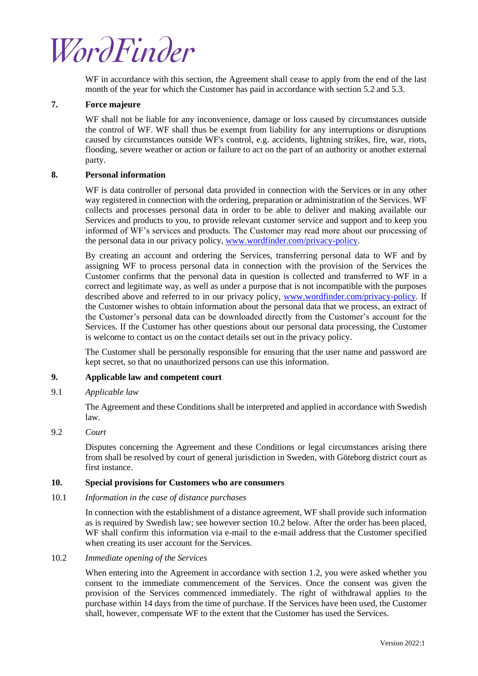# WordFinder

WF in accordance with this section, the Agreement shall cease to apply from the end of the last month of the year for which the Customer has paid in accordance with sectio[n 5.2](#page-3-0) and [5.3.](#page-3-1)

# **7. Force majeure**

WF shall not be liable for any inconvenience, damage or loss caused by circumstances outside the control of WF. WF shall thus be exempt from liability for any interruptions or disruptions caused by circumstances outside WF's control, e.g. accidents, lightning strikes, fire, war, riots, flooding, severe weather or action or failure to act on the part of an authority or another external party.

# **8. Personal information**

WF is data controller of personal data provided in connection with the Services or in any other way registered in connection with the ordering, preparation or administration of the Services. WF collects and processes personal data in order to be able to deliver and making available our Services and products to you, to provide relevant customer service and support and to keep you informed of WF's services and products. The Customer may read more about our processing of the personal data in our privacy policy, [www.wordfinder.com/privacy-policy.](http://www.wordfinder.com/privacy-policy)

By creating an account and ordering the Services, transferring personal data to WF and by assigning WF to process personal data in connection with the provision of the Services the Customer confirms that the personal data in question is collected and transferred to WF in a correct and legitimate way, as well as under a purpose that is not incompatible with the purposes described above and referred to in our privacy policy, [www.wordfinder.com/privacy-policy.](http://www.wordfinder.com/privacy-policy) If the Customer wishes to obtain information about the personal data that we process, an extract of the Customer's personal data can be downloaded directly from the Customer's account for the Services. If the Customer has other questions about our personal data processing, the Customer is welcome to contact us on the contact details set out in the privacy policy.

The Customer shall be personally responsible for ensuring that the user name and password are kept secret, so that no unauthorized persons can use this information.

# <span id="page-5-1"></span>**9. Applicable law and competent court**

# 9.1 *Applicable law*

The Agreement and these Conditions shall be interpreted and applied in accordance with Swedish law.

#### 9.2 *Court*

Disputes concerning the Agreement and these Conditions or legal circumstances arising there from shall be resolved by court of general jurisdiction in Sweden, with Göteborg district court as first instance.

#### <span id="page-5-0"></span>**10. Special provisions for Customers who are consumers**

10.1 *Information in the case of distance purchases*

In connection with the establishment of a distance agreement, WF shall provide such information as is required by Swedish law; see however section 10.2 below. After the order has been placed, WF shall confirm this information via e-mail to the e-mail address that the Customer specified when creating its user account for the Services.

# 10.2 *Immediate opening of the Services*

When entering into the Agreement in accordance with section [1.2,](#page-0-1) you were asked whether you consent to the immediate commencement of the Services. Once the consent was given the provision of the Services commenced immediately. The right of withdrawal applies to the purchase within 14 days from the time of purchase. If the Services have been used, the Customer shall, however, compensate WF to the extent that the Customer has used the Services.